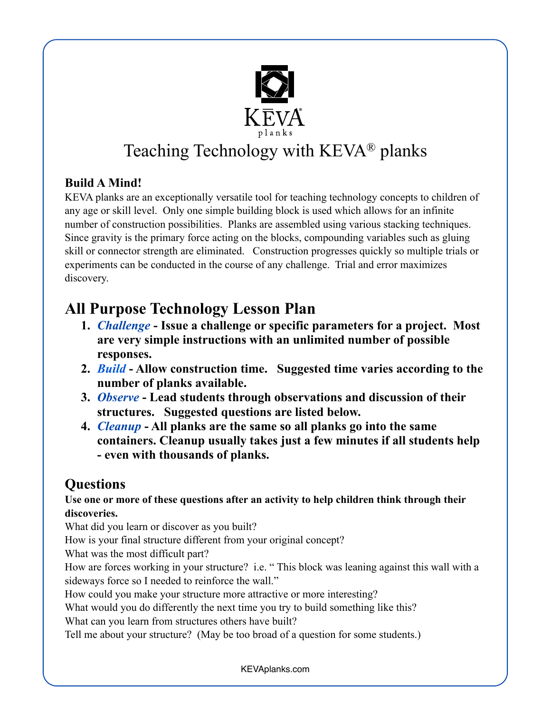

# Teaching Technology with KEVA® planks

# **Build A Mind!**

KEVA planks are an exceptionally versatile tool for teaching technology concepts to children of any age or skill level. Only one simple building block is used which allows for an infinite number of construction possibilities. Planks are assembled using various stacking techniques. Since gravity is the primary force acting on the blocks, compounding variables such as gluing skill or connector strength are eliminated. Construction progresses quickly so multiple trials or experiments can be conducted in the course of any challenge. Trial and error maximizes discovery.

# **All Purpose Technology Lesson Plan**

- **1.** *Challenge* **Issue a challenge or specific parameters for a project. Most are very simple instructions with an unlimited number of possible responses.**
- **2.** *Build* **Allow construction time. Suggested time varies according to the number of planks available.**
- **3.** *Observe* **Lead students through observations and discussion of their structures. Suggested questions are listed below.**
- **4.** *Cleanup* **All planks are the same so all planks go into the same containers. Cleanup usually takes just a few minutes if all students help - even with thousands of planks.**

# **Questions**

#### **Use one or more of these questions after an activity to help children think through their discoveries.**

What did you learn or discover as you built?

How is your final structure different from your original concept?

What was the most difficult part?

How are forces working in your structure? i.e. " This block was leaning against this wall with a sideways force so I needed to reinforce the wall."

How could you make your structure more attractive or more interesting?

What would you do differently the next time you try to build something like this?

What can you learn from structures others have built?

Tell me about your structure? (May be too broad of a question for some students.)

KEVAplanks.com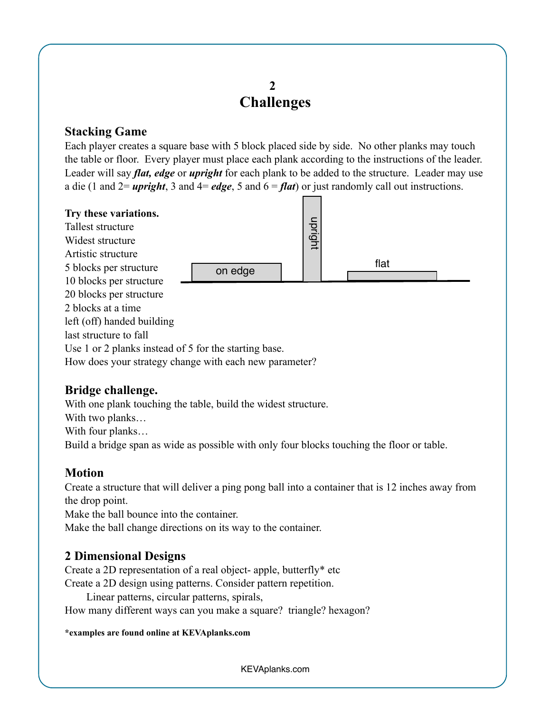# **2 2 Challenges**

# **Stacking Game**

Each player creates a square base with 5 block placed side by side. No other planks may touch the table or floor. Every player must place each plank according to the instructions of the leader. Leader will say *flat, edge* or *upright* for each plank to be added to the structure. Leader may use a die (1 and 2= *upright*, 3 and 4= *edge*, 5 and 6 = *flat*) or just randomly call out instructions.



# **Bridge challenge.**

With one plank touching the table, build the widest structure. With two planks… With four planks… Build a bridge span as wide as possible with only four blocks touching the floor or table.

# **Motion**

Create a structure that will deliver a ping pong ball into a container that is 12 inches away from the drop point.

Make the ball bounce into the container.

Make the ball change directions on its way to the container.

# **2 Dimensional Designs**

Create a 2D representation of a real object- apple, butterfly\* etc Create a 2D design using patterns. Consider pattern repetition.

Linear patterns, circular patterns, spirals,

How many different ways can you make a square? triangle? hexagon?

#### **\*examples are found online at KEVAplanks.com**

KEVAplanks.com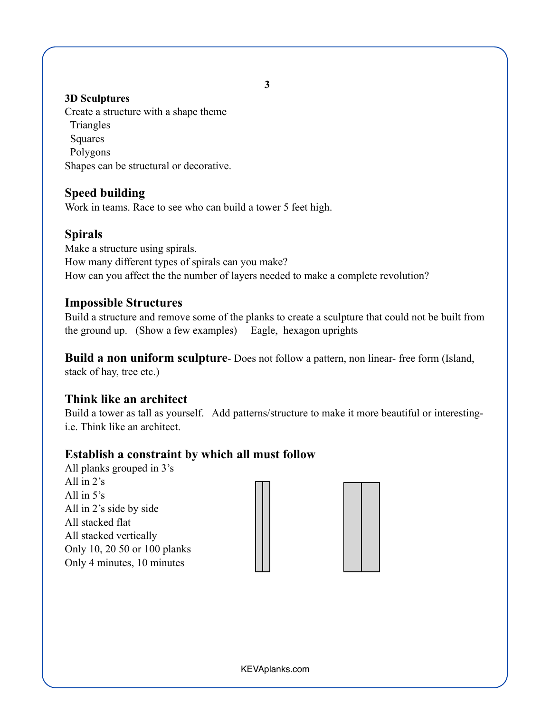#### **3D Sculptures**

Create a structure with a shape theme Triangles Squares Polygons Shapes can be structural or decorative.

# **Speed building**

Work in teams. Race to see who can build a tower 5 feet high.

# **Spirals**

Make a structure using spirals. How many different types of spirals can you make? How can you affect the the number of layers needed to make a complete revolution?

# **Impossible Structures**

Build a structure and remove some of the planks to create a sculpture that could not be built from the ground up. (Show a few examples) Eagle, hexagon uprights

**Build a non uniform sculpture**- Does not follow a pattern, non linear- free form (Island, stack of hay, tree etc.)

# **Think like an architect**

Build a tower as tall as yourself. Add patterns/structure to make it more beautiful or interestingi.e. Think like an architect.

# **Establish a constraint by which all must follow**

All planks grouped in 3's All in 2's All in 5's All in 2's side by side All stacked flat All stacked vertically Only 10, 20 50 or 100 planks Only 4 minutes, 10 minutes

KEVAplanks.com

 **3**